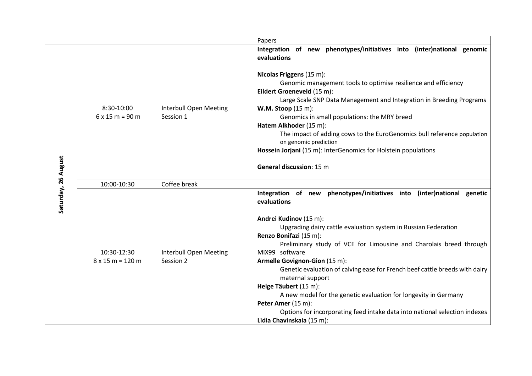|                     |                                        |                                     | Papers                                                                                                                                                                                                                                                                                                                                                                                                                                                                                                                                                                                                                                                                  |
|---------------------|----------------------------------------|-------------------------------------|-------------------------------------------------------------------------------------------------------------------------------------------------------------------------------------------------------------------------------------------------------------------------------------------------------------------------------------------------------------------------------------------------------------------------------------------------------------------------------------------------------------------------------------------------------------------------------------------------------------------------------------------------------------------------|
| Saturday, 26 August |                                        |                                     | Integration of new phenotypes/initiatives into (inter)national genomic<br>evaluations                                                                                                                                                                                                                                                                                                                                                                                                                                                                                                                                                                                   |
|                     | 8:30-10:00<br>$6x15m = 90m$            | Interbull Open Meeting<br>Session 1 | Nicolas Friggens (15 m):<br>Genomic management tools to optimise resilience and efficiency<br>Eildert Groeneveld (15 m):<br>Large Scale SNP Data Management and Integration in Breeding Programs<br><b>W.M. Stoop</b> (15 m):<br>Genomics in small populations: the MRY breed<br>Hatem Alkhoder (15 m):<br>The impact of adding cows to the EuroGenomics bull reference population<br>on genomic prediction<br>Hossein Jorjani (15 m): InterGenomics for Holstein populations<br><b>General discussion: 15 m</b>                                                                                                                                                        |
|                     | 10:00-10:30                            | Coffee break                        |                                                                                                                                                                                                                                                                                                                                                                                                                                                                                                                                                                                                                                                                         |
|                     | 10:30-12:30<br>$8 \times 15$ m = 120 m | Interbull Open Meeting<br>Session 2 | Integration of new phenotypes/initiatives into<br>(inter)national genetic<br>evaluations<br>Andrei Kudinov (15 m):<br>Upgrading dairy cattle evaluation system in Russian Federation<br>Renzo Bonifazi (15 m):<br>Preliminary study of VCE for Limousine and Charolais breed through<br>MiX99 software<br>Armelle Govignon-Gion (15 m):<br>Genetic evaluation of calving ease for French beef cattle breeds with dairy<br>maternal support<br>Helge Täubert (15 m):<br>A new model for the genetic evaluation for longevity in Germany<br>Peter Amer (15 m):<br>Options for incorporating feed intake data into national selection indexes<br>Lidia Chavinskaia (15 m): |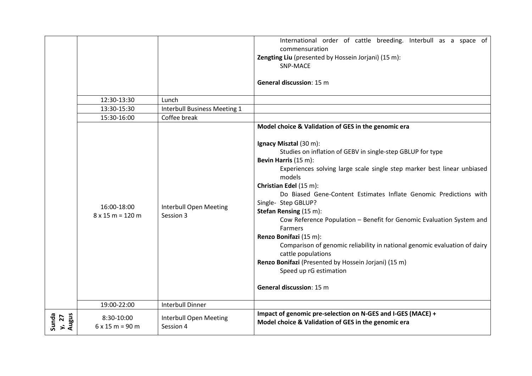|                         |                                        |                                     | International order of cattle breeding. Interbull as a space of<br>commensuration<br>Zengting Liu (presented by Hossein Jorjani) (15 m):<br>SNP-MACE<br><b>General discussion: 15 m</b>                                                                                                                                                                                                                                                                                                                                                                                                                                                                                                                                                              |
|-------------------------|----------------------------------------|-------------------------------------|------------------------------------------------------------------------------------------------------------------------------------------------------------------------------------------------------------------------------------------------------------------------------------------------------------------------------------------------------------------------------------------------------------------------------------------------------------------------------------------------------------------------------------------------------------------------------------------------------------------------------------------------------------------------------------------------------------------------------------------------------|
|                         | 12:30-13:30                            | Lunch                               |                                                                                                                                                                                                                                                                                                                                                                                                                                                                                                                                                                                                                                                                                                                                                      |
|                         | 13:30-15:30                            | <b>Interbull Business Meeting 1</b> |                                                                                                                                                                                                                                                                                                                                                                                                                                                                                                                                                                                                                                                                                                                                                      |
|                         | 15:30-16:00                            | Coffee break                        |                                                                                                                                                                                                                                                                                                                                                                                                                                                                                                                                                                                                                                                                                                                                                      |
|                         | 16:00-18:00<br>$8 \times 15$ m = 120 m | Interbull Open Meeting<br>Session 3 | Model choice & Validation of GES in the genomic era<br>Ignacy Misztal (30 m):<br>Studies on inflation of GEBV in single-step GBLUP for type<br>Bevin Harris (15 m):<br>Experiences solving large scale single step marker best linear unbiased<br>models<br>Christian Edel (15 m):<br>Do Biased Gene-Content Estimates Inflate Genomic Predictions with<br>Single- Step GBLUP?<br>Stefan Rensing (15 m):<br>Cow Reference Population - Benefit for Genomic Evaluation System and<br><b>Farmers</b><br>Renzo Bonifazi (15 m):<br>Comparison of genomic reliability in national genomic evaluation of dairy<br>cattle populations<br>Renzo Bonifazi (Presented by Hossein Jorjani) (15 m)<br>Speed up rG estimation<br><b>General discussion: 15 m</b> |
|                         | 19:00-22:00                            | <b>Interbull Dinner</b>             |                                                                                                                                                                                                                                                                                                                                                                                                                                                                                                                                                                                                                                                                                                                                                      |
| Sunda<br>Augus<br>y, 27 | 8:30-10:00<br>$6 \times 15$ m = 90 m   | Interbull Open Meeting<br>Session 4 | Impact of genomic pre-selection on N-GES and I-GES (MACE) +<br>Model choice & Validation of GES in the genomic era                                                                                                                                                                                                                                                                                                                                                                                                                                                                                                                                                                                                                                   |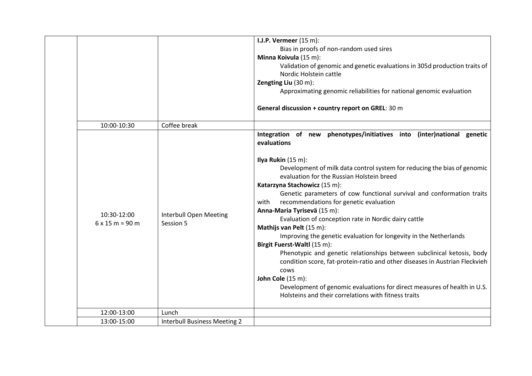|                                       |                                     | I.J.P. Vermeer $(15 \text{ m})$ :<br>Bias in proofs of non-random used sires<br>Minna Koivula (15 m):<br>Validation of genomic and genetic evaluations in 305d production traits of<br>Nordic Holstein cattle<br>Zengting Liu (30 m):<br>Approximating genomic reliabilities for national genomic evaluation                                                                                                                                                                                                                                                                                                                                                                                                                                                                                                                                                                                                                                            |
|---------------------------------------|-------------------------------------|---------------------------------------------------------------------------------------------------------------------------------------------------------------------------------------------------------------------------------------------------------------------------------------------------------------------------------------------------------------------------------------------------------------------------------------------------------------------------------------------------------------------------------------------------------------------------------------------------------------------------------------------------------------------------------------------------------------------------------------------------------------------------------------------------------------------------------------------------------------------------------------------------------------------------------------------------------|
|                                       |                                     | General discussion + country report on GREL: 30 m                                                                                                                                                                                                                                                                                                                                                                                                                                                                                                                                                                                                                                                                                                                                                                                                                                                                                                       |
| 10:00-10:30                           | Coffee break                        |                                                                                                                                                                                                                                                                                                                                                                                                                                                                                                                                                                                                                                                                                                                                                                                                                                                                                                                                                         |
| 10:30-12:00<br>$6 \times 15$ m = 90 m | Interbull Open Meeting<br>Session 5 | Integration of new phenotypes/initiatives into (inter)national genetic<br>evaluations<br>Ilya Rukin (15 m):<br>Development of milk data control system for reducing the bias of genomic<br>evaluation for the Russian Holstein breed<br>Katarzyna Stachowicz (15 m):<br>Genetic parameters of cow functional survival and conformation traits<br>recommendations for genetic evaluation<br>with<br>Anna-Maria Tyrisevä (15 m):<br>Evaluation of conception rate in Nordic dairy cattle<br>Mathijs van Pelt (15 m):<br>Improving the genetic evaluation for longevity in the Netherlands<br>Birgit Fuerst-Waltl (15 m):<br>Phenotypic and genetic relationships between subclinical ketosis, body<br>condition score, fat-protein-ratio and other diseases in Austrian Fleckvieh<br>cows<br><b>John Cole (15 m):</b><br>Development of genomic evaluations for direct measures of health in U.S.<br>Holsteins and their correlations with fitness traits |
|                                       |                                     |                                                                                                                                                                                                                                                                                                                                                                                                                                                                                                                                                                                                                                                                                                                                                                                                                                                                                                                                                         |
| 13:00-15:00                           | <b>Interbull Business Meeting 2</b> |                                                                                                                                                                                                                                                                                                                                                                                                                                                                                                                                                                                                                                                                                                                                                                                                                                                                                                                                                         |
|                                       | 12:00-13:00                         | Lunch                                                                                                                                                                                                                                                                                                                                                                                                                                                                                                                                                                                                                                                                                                                                                                                                                                                                                                                                                   |